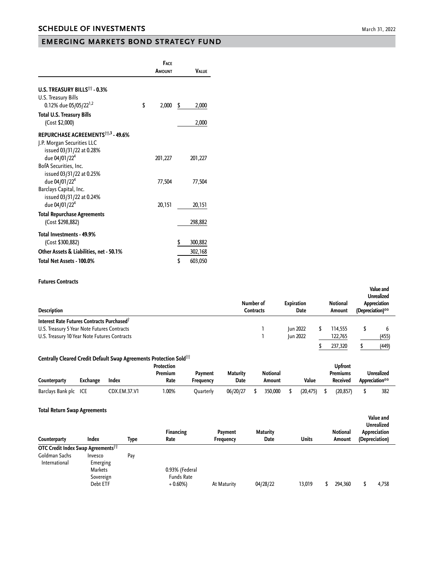## **EMERGING MARKETS BOND STRATEGY FUND**

|                                                          | <b>FACE</b><br>AMOUNT | <b>VALUE</b>  |
|----------------------------------------------------------|-----------------------|---------------|
| U.S. TREASURY BILLS <sup>11</sup> - 0.3%                 |                       |               |
| U.S. Treasury Bills<br>0.12% due 05/05/22 <sup>1,2</sup> | \$<br>2,000           | \$<br>2,000   |
| <b>Total U.S. Treasury Bills</b><br>(Cost \$2,000)       |                       | 2,000         |
| REPURCHASE AGREEMENTS <sup>113</sup> - 49.6%             |                       |               |
| J.P. Morgan Securities LLC                               |                       |               |
| issued 03/31/22 at 0.28%<br>due 04/01/22 <sup>4</sup>    | 201,227               | 201,227       |
| BofA Securities, Inc.                                    |                       |               |
| issued 03/31/22 at 0.25%                                 |                       |               |
| due 04/01/22 <sup>4</sup>                                | 77,504                | 77,504        |
| Barclays Capital, Inc.<br>issued 03/31/22 at 0.24%       |                       |               |
| due 04/01/22 <sup>4</sup>                                | 20,151                | 20,151        |
| <b>Total Repurchase Agreements</b>                       |                       |               |
| (Cost \$298,882)                                         |                       | 298,882       |
| Total Investments - 49.9%                                |                       |               |
| (Cost \$300,882)                                         |                       | \$<br>300,882 |
| Other Assets & Liabilities, net - 50.1%                  |                       | 302,168       |
| Total Net Assets - 100.0%                                |                       | \$<br>603,050 |

## **Futures Contracts**

| <b>Description</b>                                     | Number of<br>Contracts | <b>Expiration</b><br>Date | <b>Notional</b><br>Amount | Value and<br><b>Unrealized</b><br>Appreciation<br>(Depreciation)** |       |  |
|--------------------------------------------------------|------------------------|---------------------------|---------------------------|--------------------------------------------------------------------|-------|--|
| Interest Rate Futures Contracts Purchased <sup>®</sup> |                        |                           |                           |                                                                    |       |  |
| U.S. Treasury 5 Year Note Futures Contracts            |                        | <b>Iun 2022</b>           | 114.555                   |                                                                    |       |  |
| U.S. Treasury 10 Year Note Futures Contracts           |                        | Jun 2022                  | 122,765                   |                                                                    | (455) |  |
|                                                        |                        |                           | 237,320                   |                                                                    | (449) |  |

## **Centrally Cleared Credit Default Swap Agreements Protection Sold††**

|                   |          |              | Protection      |                      |                         |  |                    |          | <b>Upfront</b>              |                                     |     |
|-------------------|----------|--------------|-----------------|----------------------|-------------------------|--|--------------------|----------|-----------------------------|-------------------------------------|-----|
| Counterparty      | Exchange | Index        | Premium<br>Rate | Payment<br>Freauency | <b>Maturity</b><br>Date |  | Notional<br>Amount | Value    | Premiums<br><b>Received</b> | <b>Unrealized</b><br>Appreciation** |     |
| Barclavs Bank plc | ICE      | CDX.EM.37.V1 | .00%            | Ouarterlv            | 06/20/27                |  | 350,000            | (20.475) | (20.857)                    |                                     | 382 |

| <b>Total Return Swap Agreements</b>            |                                                                |      |                                                  |                      |                         |              |  |                    |                                                                  |       |  |
|------------------------------------------------|----------------------------------------------------------------|------|--------------------------------------------------|----------------------|-------------------------|--------------|--|--------------------|------------------------------------------------------------------|-------|--|
| Counterparty                                   | Index                                                          | Type | Financing<br>Rate                                | Payment<br>Frequency | <b>Maturity</b><br>Date | <b>Units</b> |  | Notional<br>Amount | Value and<br><b>Unrealized</b><br>Appreciation<br>(Depreciation) |       |  |
| OTC Credit Index Swap Agreements <sup>11</sup> |                                                                |      |                                                  |                      |                         |              |  |                    |                                                                  |       |  |
| Goldman Sachs<br>International                 | Invesco<br>Emerging<br><b>Markets</b><br>Sovereign<br>Debt ETF | Pay  | 0.93% (Federal<br><b>Funds Rate</b><br>$+0.60\%$ | At Maturity          | 04/28/22                | 13,019       |  | 294,360            |                                                                  | 4,758 |  |